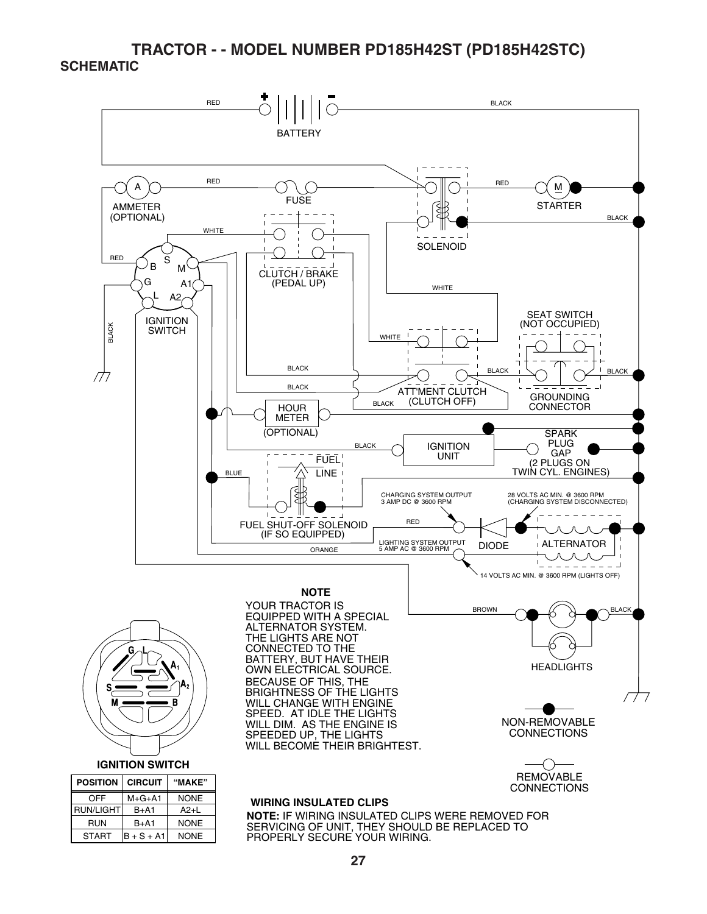

PROPERLY SECURE YOUR WIRING.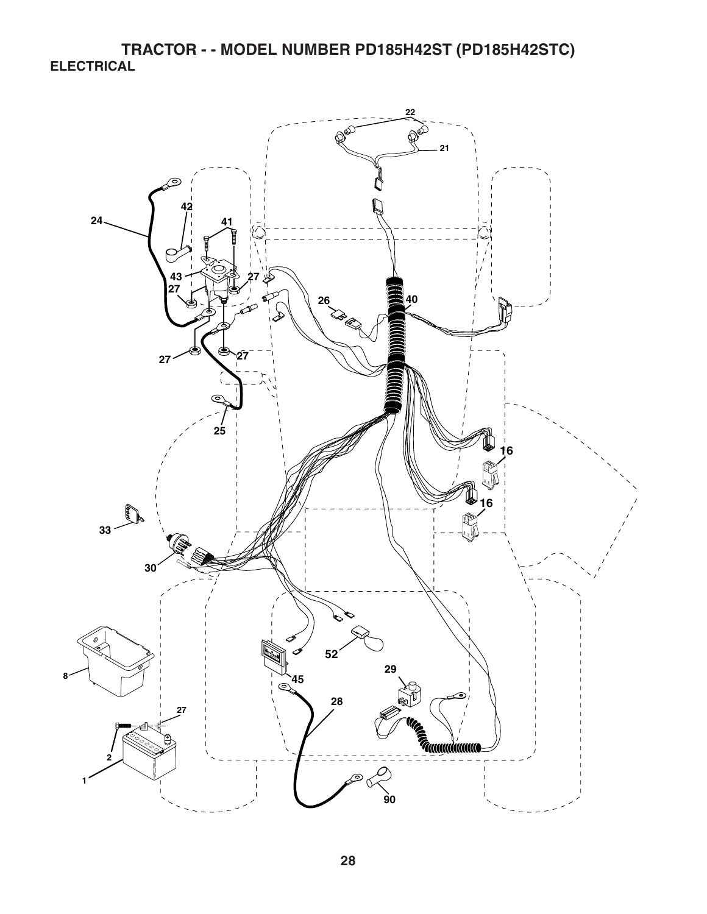**TRACTOR - - MODEL NUMBER PD185H42ST (PD185H42STC) ELECTRICAL** 

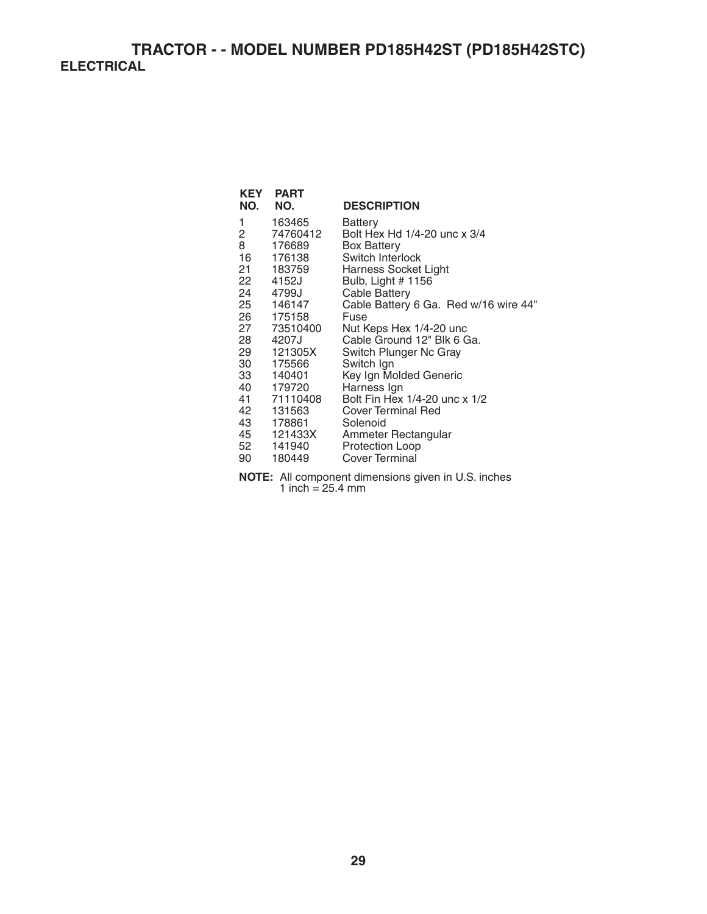**TRACTOR - - MODEL NUMBER PD185H42ST (PD185H42STC) ELECTRICAL** 

|     | <b>PART</b>   |                                                                                                                                            |
|-----|---------------|--------------------------------------------------------------------------------------------------------------------------------------------|
| NO. | NO.           | <b>DESCRIPTION</b>                                                                                                                         |
| 1   | 163465        | Battery                                                                                                                                    |
| 2   | 74760412      | Bolt Hex Hd 1/4-20 unc x 3/4                                                                                                               |
|     | 176689        | <b>Box Battery</b>                                                                                                                         |
|     | 176138        | Switch Interlock                                                                                                                           |
| 21  |               | Harness Socket Light                                                                                                                       |
| 22  | 4152J         | Bulb, Light # 1156                                                                                                                         |
| 24  | 4799J         | <b>Cable Battery</b>                                                                                                                       |
|     |               | Cable Battery 6 Ga. Red w/16 wire 44"                                                                                                      |
|     |               | Fuse                                                                                                                                       |
|     |               | Nut Keps Hex 1/4-20 unc                                                                                                                    |
| 28  | 4207J         | Cable Ground 12" Blk 6 Ga.                                                                                                                 |
| 29  |               | Switch Plunger Nc Gray                                                                                                                     |
|     | 175566        | Switch Ign                                                                                                                                 |
| 33  | 140401        | Key Ign Molded Generic                                                                                                                     |
|     | 179720        | Harness Ign                                                                                                                                |
| 41  | 71110408      | Bolt Fin Hex 1/4-20 unc x 1/2                                                                                                              |
|     |               | Cover Terminal Red                                                                                                                         |
|     | 178861        | Solenoid                                                                                                                                   |
|     |               | Ammeter Rectangular                                                                                                                        |
|     |               | Protection Loop                                                                                                                            |
|     |               | <b>Cover Terminal</b>                                                                                                                      |
|     | 8<br>42<br>90 | KEY<br>16<br>183759<br>25 146147<br>26 175158<br>27 73510400<br>121305X<br>30<br>40<br>131563<br>43 —<br>45 121433X<br>52 141940<br>180449 |

**NOTE:** All component dimensions given in U.S. inches 1 inch  $= 25.4$  mm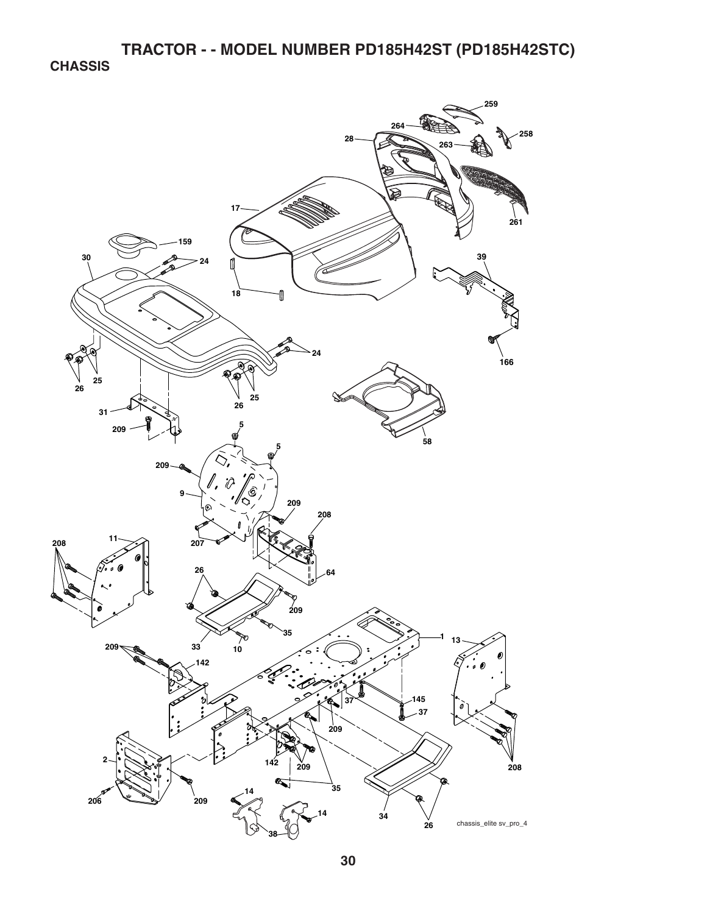**CHASSIS** 

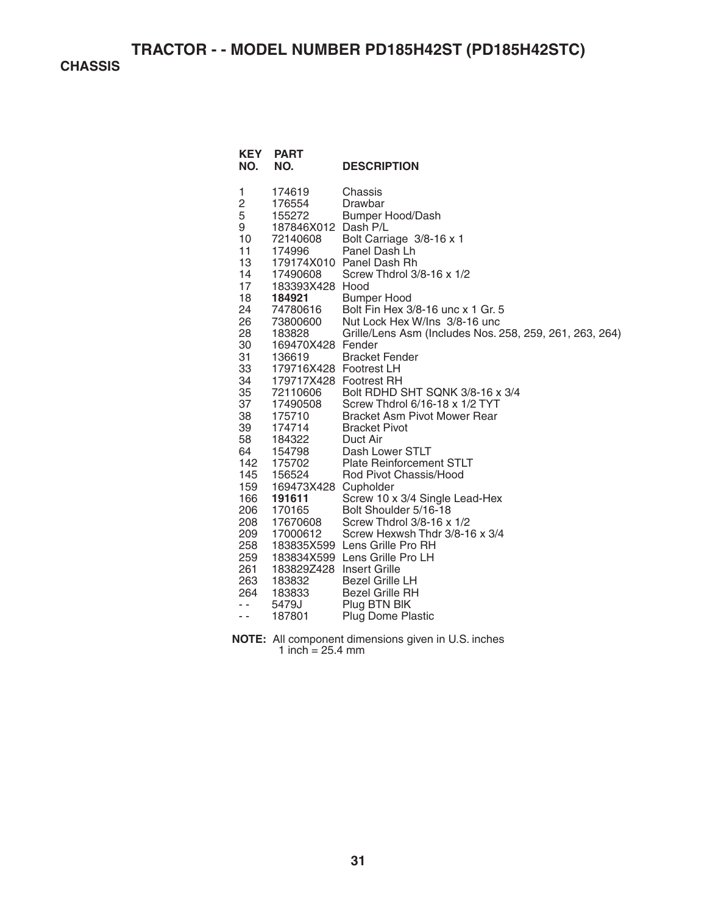**CHASSIS** 

| <b>KEY</b><br>NO.                                                                                                                                                                                                                                   | <b>PART</b><br>NO.                                                                                                                                                                                                                                                                                                                                                                                                                                                     | <b>DESCRIPTION</b>                                                                                                                                                                                                                                                                                                                                                                                                                                                                                                                                                                                                                                                                                                                                                                                                                                       |
|-----------------------------------------------------------------------------------------------------------------------------------------------------------------------------------------------------------------------------------------------------|------------------------------------------------------------------------------------------------------------------------------------------------------------------------------------------------------------------------------------------------------------------------------------------------------------------------------------------------------------------------------------------------------------------------------------------------------------------------|----------------------------------------------------------------------------------------------------------------------------------------------------------------------------------------------------------------------------------------------------------------------------------------------------------------------------------------------------------------------------------------------------------------------------------------------------------------------------------------------------------------------------------------------------------------------------------------------------------------------------------------------------------------------------------------------------------------------------------------------------------------------------------------------------------------------------------------------------------|
| 1<br>2<br>5<br>9<br>10 <sup>1</sup><br>11<br>13<br>14<br>17<br>18<br>24<br>26<br>28<br>30<br>31<br>33<br>34<br>35<br>37<br>38<br>39<br>58<br>64<br>142<br>145<br>159<br>166<br>206<br>208<br>209<br>258<br>259<br>261<br>263<br>264<br>$ -$<br>$ -$ | 174619<br>176554<br>155272<br>187846X012 Dash P/L<br>72140608<br>174996<br>17490608<br>183393X428 Hood<br>184921<br>- 27780616<br>סססחפי<br>סס<br>183828<br>169470X428 Fender<br>136619<br>179716X428 Footrest LH<br>179717X428 Footrest RH<br>72110606<br>17490508<br>175710<br>174714<br>184322<br>154798<br>175702<br>156524<br>169473X428 Cupholder<br>191611<br>170165<br>17670608<br>17000612<br>183829Z428 Insert Grille<br>183832<br>183833<br>5479J<br>187801 | Chassis<br>Drawbar<br><b>Bumper Hood/Dash</b><br>Bolt Carriage 3/8-16 x 1<br>Panel Dash Lh<br>179174X010 Panel Dash Rh<br>Screw Thdrol 3/8-16 x 1/2<br><b>Bumper Hood</b><br>Bolt Fin Hex 3/8-16 unc x 1 Gr. 5<br>Nut Lock Hex W/Ins 3/8-16 unc<br>Grille/Lens Asm (Includes Nos. 258, 259, 261, 263, 264)<br><b>Bracket Fender</b><br>Bolt RDHD SHT SQNK 3/8-16 x 3/4<br>Screw Thdrol 6/16-18 x 1/2 TYT<br>Bracket Asm Pivot Mower Rear<br><b>Bracket Pivot</b><br>Duct Air<br>Dash Lower STLT<br><b>Plate Reinforcement STLT</b><br>Rod Pivot Chassis/Hood<br>Screw 10 x 3/4 Single Lead-Hex<br>Bolt Shoulder 5/16-18<br>Screw Thdrol 3/8-16 x 1/2<br>Screw Hexwsh Thdr 3/8-16 x 3/4<br>183835X599 Lens Grille Pro RH<br>183834X599 Lens Grille Pro LH<br><b>Bezel Grille LH</b><br><b>Bezel Grille RH</b><br>Plug BTN BIK<br><b>Plug Dome Plastic</b> |

**NOTE:** All component dimensions given in U.S. inches 1 inch  $= 25.4$  mm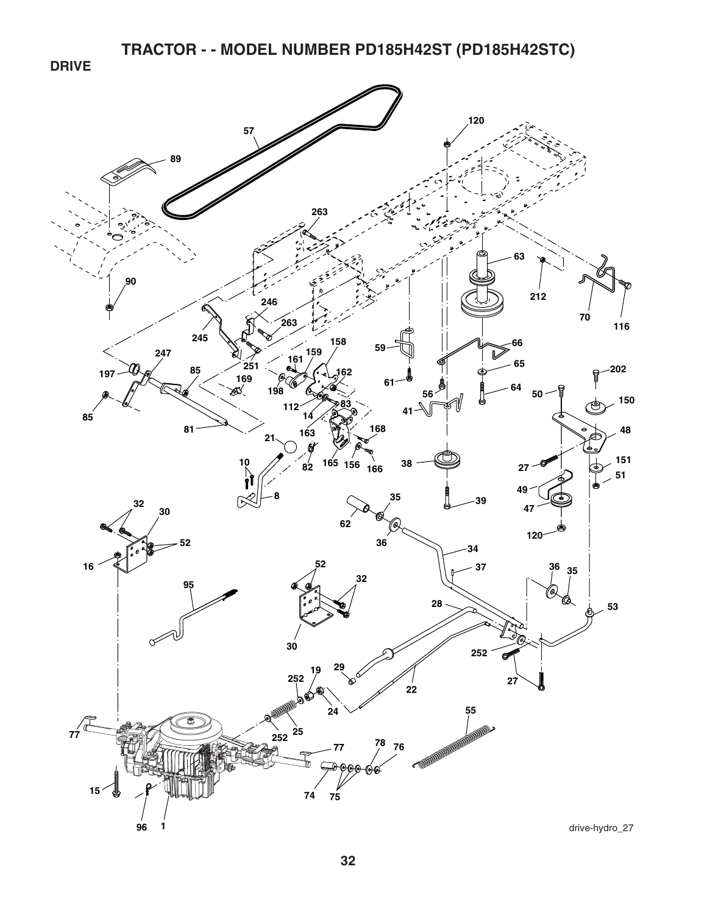**DRIVE** 

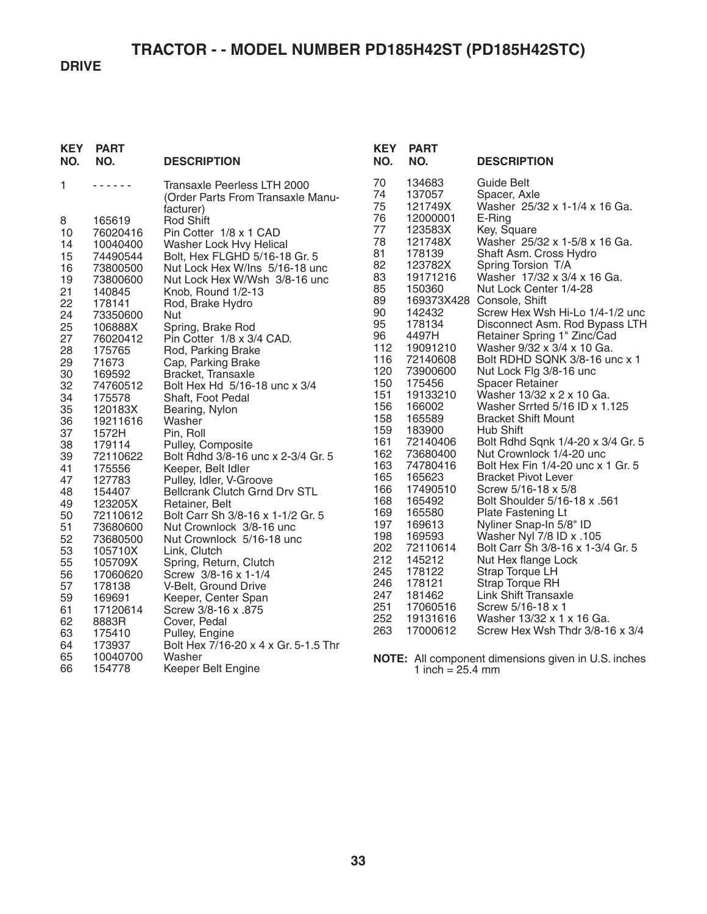**DRIVE** 

| <b>KEY</b><br>NO.                                                                                                          | <b>PART</b><br>NO.                                                                                                                                                                                                            | <b>DESCRIPTION</b>                                                                                                                                                                                                                                                                                                                                                                                                                                                                                                       | <b>KEY</b><br>NO.                                                                                                                 | <b>PART</b><br>NO.                                                                                                                                                                                                     | <b>DESCRIPTION</b>                                                                                                                                                                                                                                                                                                                                                                                                                                                                                                                                                                     |
|----------------------------------------------------------------------------------------------------------------------------|-------------------------------------------------------------------------------------------------------------------------------------------------------------------------------------------------------------------------------|--------------------------------------------------------------------------------------------------------------------------------------------------------------------------------------------------------------------------------------------------------------------------------------------------------------------------------------------------------------------------------------------------------------------------------------------------------------------------------------------------------------------------|-----------------------------------------------------------------------------------------------------------------------------------|------------------------------------------------------------------------------------------------------------------------------------------------------------------------------------------------------------------------|----------------------------------------------------------------------------------------------------------------------------------------------------------------------------------------------------------------------------------------------------------------------------------------------------------------------------------------------------------------------------------------------------------------------------------------------------------------------------------------------------------------------------------------------------------------------------------------|
| 1<br>8<br>10<br>14<br>15<br>16<br>19<br>21<br>22<br>24<br>25<br>27<br>28<br>29<br>30<br>32<br>34<br>35<br>36               | .<br>165619<br>76020416<br>10040400<br>74490544<br>73800500<br>73800600<br>140845<br>178141<br>73350600<br>106888X<br>76020412<br>175765<br>71673<br>169592<br>74760512<br>175578<br>120183X<br>19211616                      | Transaxle Peerless LTH 2000<br>(Order Parts From Transaxle Manu-<br>facturer)<br><b>Rod Shift</b><br>Pin Cotter 1/8 x 1 CAD<br>Washer Lock Hvy Helical<br>Bolt, Hex FLGHD 5/16-18 Gr. 5<br>Nut Lock Hex W/Ins 5/16-18 unc<br>Nut Lock Hex W/Wsh 3/8-16 unc<br>Knob, Round 1/2-13<br>Rod, Brake Hydro<br>Nut<br>Spring, Brake Rod<br>Pin Cotter 1/8 x 3/4 CAD.<br>Rod, Parking Brake<br>Cap, Parking Brake<br>Bracket, Transaxle<br>Bolt Hex Hd 5/16-18 unc x 3/4<br>Shaft, Foot Pedal<br>Bearing, Nylon<br>Washer        | 70<br>74<br>75<br>76<br>77<br>78<br>81<br>82<br>83<br>85<br>89<br>90<br>95<br>96<br>112<br>116<br>120<br>150<br>151<br>156<br>158 | 134683<br>137057<br>121749X<br>12000001<br>123583X<br>121748X<br>178139<br>123782X<br>19171216<br>150360<br>142432<br>178134<br>4497H<br>19091210<br>72140608<br>73900600<br>175456<br>19133210<br>166002<br>165589    | <b>Guide Belt</b><br>Spacer, Axle<br>Washer 25/32 x 1-1/4 x 16 Ga.<br>E-Ring<br>Key, Square<br>Washer 25/32 x 1-5/8 x 16 Ga.<br>Shaft Asm. Cross Hydro<br>Spring Torsion T/A<br>Washer 17/32 x 3/4 x 16 Ga.<br>Nut Lock Center 1/4-28<br>169373X428 Console, Shift<br>Screw Hex Wsh Hi-Lo 1/4-1/2 unc<br>Disconnect Asm. Rod Bypass LTH<br>Retainer Spring 1" Zinc/Cad<br>Washer 9/32 x 3/4 x 10 Ga.<br>Bolt RDHD SQNK 3/8-16 unc x 1<br>Nut Lock Flg 3/8-16 unc<br><b>Spacer Retainer</b><br>Washer 13/32 x 2 x 10 Ga.<br>Washer Srrted 5/16 ID x 1.125<br><b>Bracket Shift Mount</b> |
| 37<br>38<br>39<br>41<br>47<br>48<br>49<br>50<br>51<br>52<br>53<br>55<br>56<br>57<br>59<br>61<br>62<br>63<br>64<br>65<br>66 | 1572H<br>179114<br>72110622<br>175556<br>127783<br>154407<br>123205X<br>72110612<br>73680600<br>73680500<br>105710X<br>105709X<br>17060620<br>178138<br>169691<br>17120614<br>8883R<br>175410<br>173937<br>10040700<br>154778 | Pin, Roll<br>Pulley, Composite<br>Bolt Rdhd 3/8-16 unc x 2-3/4 Gr. 5<br>Keeper, Belt Idler<br>Pulley, Idler, V-Groove<br>Bellcrank Clutch Grnd Drv STL<br>Retainer, Belt<br>Bolt Carr Sh 3/8-16 x 1-1/2 Gr. 5<br>Nut Crownlock 3/8-16 unc<br>Nut Crownlock 5/16-18 unc<br>Link, Clutch<br>Spring, Return, Clutch<br>Screw 3/8-16 x 1-1/4<br>V-Belt, Ground Drive<br>Keeper, Center Span<br>Screw 3/8-16 x .875<br>Cover, Pedal<br>Pulley, Engine<br>Bolt Hex 7/16-20 x 4 x Gr. 5-1.5 Thr<br>Washer<br>Keeper Belt Engine | 159<br>161<br>162<br>163<br>165<br>166<br>168<br>169<br>197<br>198<br>202<br>212<br>245<br>246<br>247<br>251<br>252<br>263        | 183900<br>72140406<br>73680400<br>74780416<br>165623<br>17490510<br>165492<br>165580<br>169613<br>169593<br>72110614<br>145212<br>178122<br>178121<br>181462<br>17060516<br>19131616<br>17000612<br>1 inch = $25.4$ mm | Hub Shift<br>Bolt Rdhd Sqnk 1/4-20 x 3/4 Gr. 5<br>Nut Crownlock 1/4-20 unc<br>Bolt Hex Fin 1/4-20 unc x 1 Gr. 5<br><b>Bracket Pivot Lever</b><br>Screw 5/16-18 x 5/8<br>Bolt Shoulder 5/16-18 x .561<br>Plate Fastening Lt<br>Nyliner Snap-In 5/8" ID<br>Washer Nyl 7/8 ID x .105<br>Bolt Carr Sh 3/8-16 x 1-3/4 Gr. 5<br>Nut Hex flange Lock<br>Strap Torque LH<br>Strap Torque RH<br><b>Link Shift Transaxle</b><br>Screw 5/16-18 x 1<br>Washer 13/32 x 1 x 16 Ga.<br>Screw Hex Wsh Thdr 3/8-16 x 3/4<br><b>NOTE:</b> All component dimensions given in U.S. inches                  |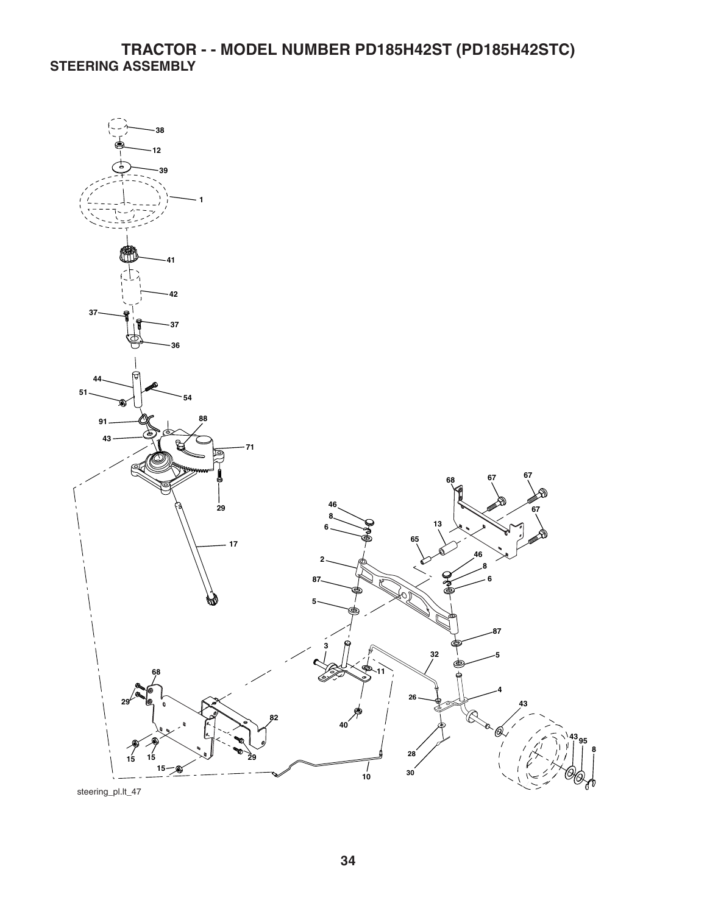## **TRACTOR - - MODEL NUMBER PD185H42ST (PD185H42STC) STEERING ASSEMBLY**



steering\_pl.lt\_47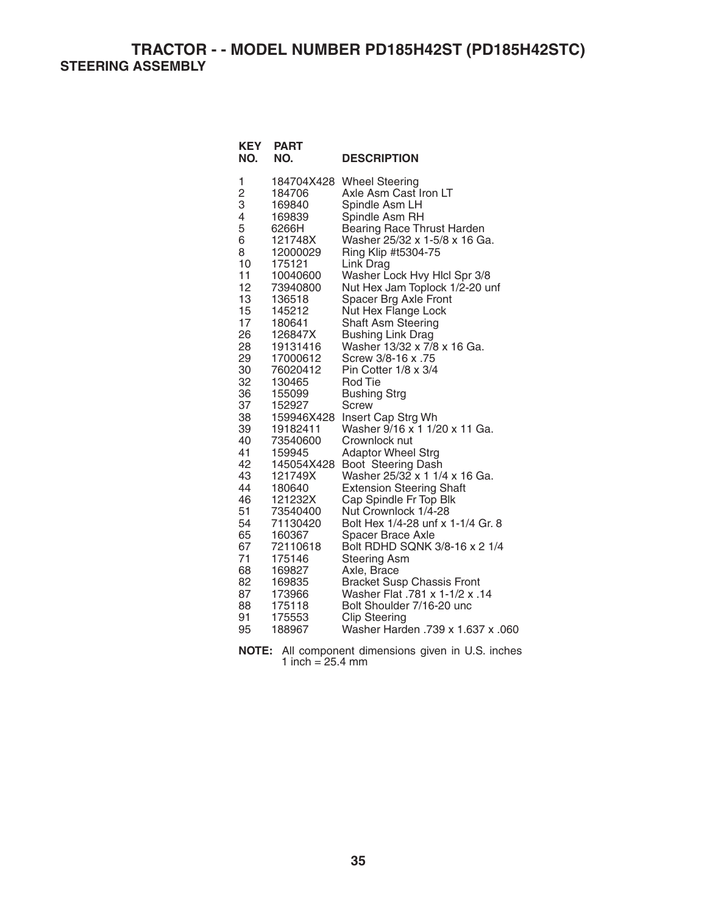**TRACTOR - - MODEL NUMBER PD185H42ST (PD185H42STC) STEERING ASSEMBLY** 

| <b>KEY</b><br>NO. | <b>PART</b><br>NO. | <b>DESCRIPTION</b>                |
|-------------------|--------------------|-----------------------------------|
| 1                 | 184704X428         | <b>Wheel Steering</b>             |
| $\overline{c}$    | 184706             | Axle Asm Cast Iron LT             |
| 3                 | 169840             | Spindle Asm LH                    |
| 4                 | 169839             | Spindle Asm RH                    |
| 5                 | 6266H              | Bearing Race Thrust Harden        |
| 6                 | 121748X            | Washer 25/32 x 1-5/8 x 16 Ga.     |
| 8                 | 12000029           | Ring Klip #t5304-75               |
| 10                | 175121             | Link Drag                         |
| 11                | 10040600           | Washer Lock Hvy Hlcl Spr 3/8      |
| 12                | 73940800           | Nut Hex Jam Toplock 1/2-20 unf    |
| 13                | 136518             | Spacer Brg Axle Front             |
| 15                | 145212             | Nut Hex Flange Lock               |
| 17                | 180641             | Shaft Asm Steering                |
| 26                | 126847X            | <b>Bushing Link Drag</b>          |
| 28                | 19131416           | Washer 13/32 x 7/8 x 16 Ga.       |
| 29                | 17000612           | Screw 3/8-16 x .75                |
| 30                | 76020412           | Pin Cotter 1/8 x 3/4              |
| 32                | 130465             | <b>Rod Tie</b>                    |
| 36                | 155099             | <b>Bushing Strg</b>               |
| 37                | 152927             | Screw                             |
| 38                | 159946X428         | Insert Cap Strg Wh                |
| 39                | 19182411           | Washer 9/16 x 1 1/20 x 11 Ga.     |
| 40                | 73540600           | Crownlock nut                     |
| 41                | 159945             | <b>Adaptor Wheel Strg</b>         |
| 42                | 145054X428         | Boot Steering Dash                |
| 43                | 121749X            | Washer 25/32 x 1 1/4 x 16 Ga.     |
| 44                | 180640             | <b>Extension Steering Shaft</b>   |
| 46                | 121232X            | Cap Spindle Fr Top Blk            |
| 51                | 73540400           | Nut Crownlock 1/4-28              |
| 54                | 71130420           | Bolt Hex 1/4-28 unf x 1-1/4 Gr. 8 |
| 65                | 160367             | Spacer Brace Axle                 |
| 67                | 72110618           | Bolt RDHD SQNK 3/8-16 x 2 1/4     |
| 71                | 175146             | <b>Steering Asm</b>               |
| 68                | 169827             | Axle, Brace                       |
| 82                | 169835             | <b>Bracket Susp Chassis Front</b> |
| 87                | 173966             | Washer Flat .781 x 1-1/2 x .14    |
| 88                | 175118             | Bolt Shoulder 7/16-20 unc         |
| 91                | 175553             | <b>Clip Steering</b>              |
| 95                | 188967             | 060. Washer Harden .739 x 1.637 x |

**NOTE:** All component dimensions given in U.S. inches 1 inch =  $25.4 \, \text{mm}$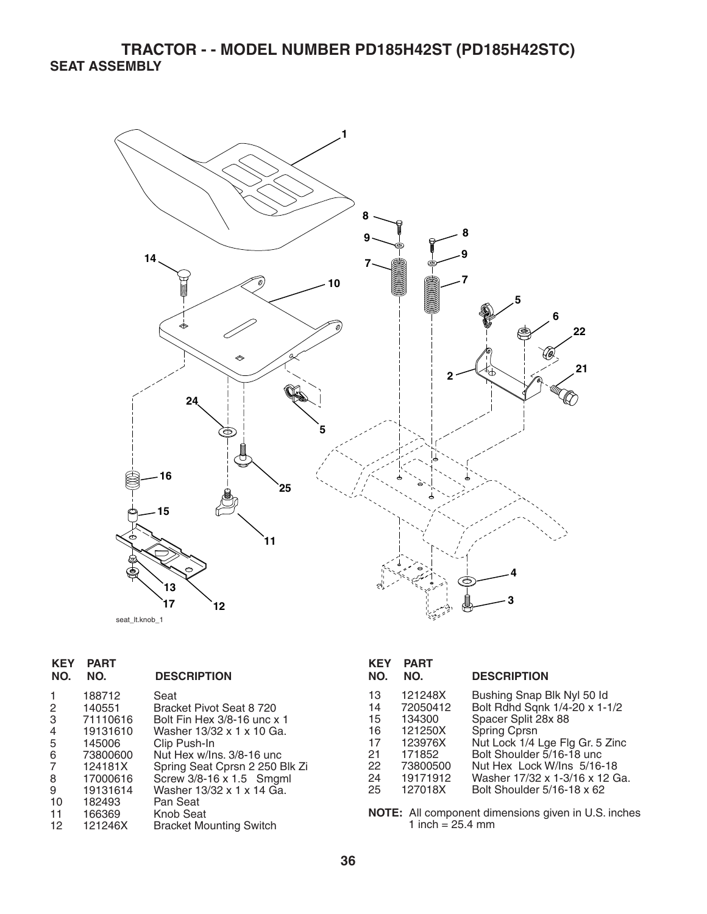## **TRACTOR - - MODEL NUMBER PD185H42ST (PD185H42STC) SEAT ASSEMBLY**



seat\_lt.knob\_1

| <b>KEY</b><br>NO.                                 | <b>PART</b><br>NO.                                                                                                    | <b>DESCRIPTION</b>                                                                                                                                                                                                                                                   | <b>KEY</b><br>NO.                                  | <b>PART</b><br>NO.                                                                                                               |
|---------------------------------------------------|-----------------------------------------------------------------------------------------------------------------------|----------------------------------------------------------------------------------------------------------------------------------------------------------------------------------------------------------------------------------------------------------------------|----------------------------------------------------|----------------------------------------------------------------------------------------------------------------------------------|
| 2<br>3<br>4<br>5<br>6<br>8<br>9<br>10<br>11<br>12 | 188712<br>140551<br>71110616<br>19131610<br>145006<br>73800600<br>124181X<br>17000616<br>19131614<br>182493<br>166369 | Seat<br>Bracket Pivot Seat 8 720<br>Bolt Fin Hex 3/8-16 unc x 1<br>Washer 13/32 x 1 x 10 Ga.<br>Clip Push-In<br>Nut Hex w/lns, 3/8-16 unc<br>Spring Seat Cprsn 2 250 Blk Zi<br>Screw 3/8-16 x 1.5 Smgml<br>Washer 13/32 x 1 x 14 Ga.<br>Pan Seat<br><b>Knob Seat</b> | 13<br>14<br>15<br>16<br>17<br>21<br>22<br>24<br>25 | 121248X<br>72050412<br>134300<br>121250X<br>123976X<br>171852<br>73800500<br>19171912<br>127018X<br>NOTE: All comp<br>1 inch $=$ |
|                                                   | 121246X                                                                                                               | <b>Bracket Mounting Switch</b>                                                                                                                                                                                                                                       |                                                    |                                                                                                                                  |

| <b>KEY</b><br>NO. | <b>PART</b><br>NO. | <b>DESCRIPTION</b>              |
|-------------------|--------------------|---------------------------------|
| 13                | 121248X            | Bushing Snap Blk Nyl 50 ld      |
| 14                | 72050412           | Bolt Rdhd Sqnk 1/4-20 x 1-1/2   |
| 15                | 134300             | Spacer Split 28x 88             |
| 16                | 121250X            | Spring Cprsn                    |
| 17                | 123976X            | Nut Lock 1/4 Lge Flg Gr. 5 Zinc |
| 21                | 171852             | Bolt Shoulder 5/16-18 unc       |
| 22                | 73800500           | Nut Hex Lock W/Ins 5/16-18      |
| 24                | 19171912           | Washer 17/32 x 1-3/16 x 12 Ga.  |
| 25                | 127018X            | Bolt Shoulder 5/16-18 x 62      |

**NOTE:** All component dimensions given in U.S. inches 1 inch  $= 25.4$  mm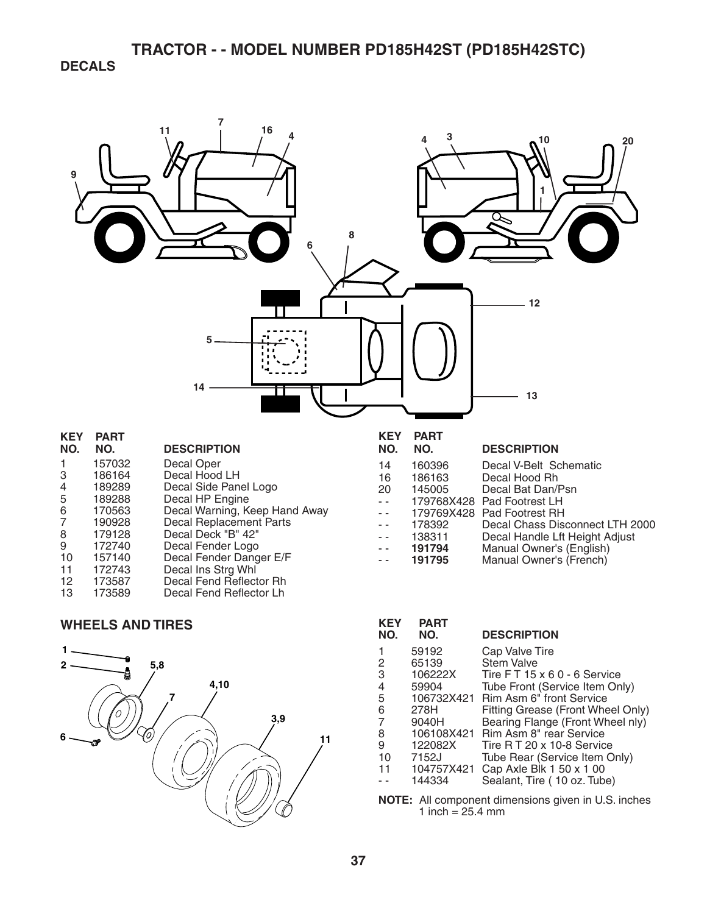**DECALS** 



#### **WHEELS AND TIRES**



| <b>KEY</b><br>NO.                                     | <b>PART</b><br>NO. | <b>DESCRIPTION</b>                 |  |
|-------------------------------------------------------|--------------------|------------------------------------|--|
| 1                                                     | 59192              | Cap Valve Tire                     |  |
| 2                                                     | 65139              | <b>Stem Valve</b>                  |  |
| 3                                                     | 106222X            | Tire $FT 15 \times 60 - 6$ Service |  |
| 4                                                     | 59904              | Tube Front (Service Item Only)     |  |
| 5                                                     | 106732X421         | Rim Asm 6" front Service           |  |
| 6                                                     | 278H               | Fitting Grease (Front Wheel Only)  |  |
| 7                                                     | 9040H              | Bearing Flange (Front Wheel nly)   |  |
| 8                                                     | 106108X421         | Rim Asm 8" rear Service            |  |
| 9                                                     | 122082X            | Tire R T 20 x 10-8 Service         |  |
| 10                                                    | 7152J              | Tube Rear (Service Item Only)      |  |
| 11                                                    | 104757X421         | Cap Axle Blk 1 50 x 1 00           |  |
|                                                       | 144334             | Sealant, Tire (10 oz. Tube)        |  |
| All component dimensions given in LLS inches<br>ΝΩΤΕ· |                    |                                    |  |

All component dimensions given in U.S. inches 1 inch =  $25.4 \, \text{mm}$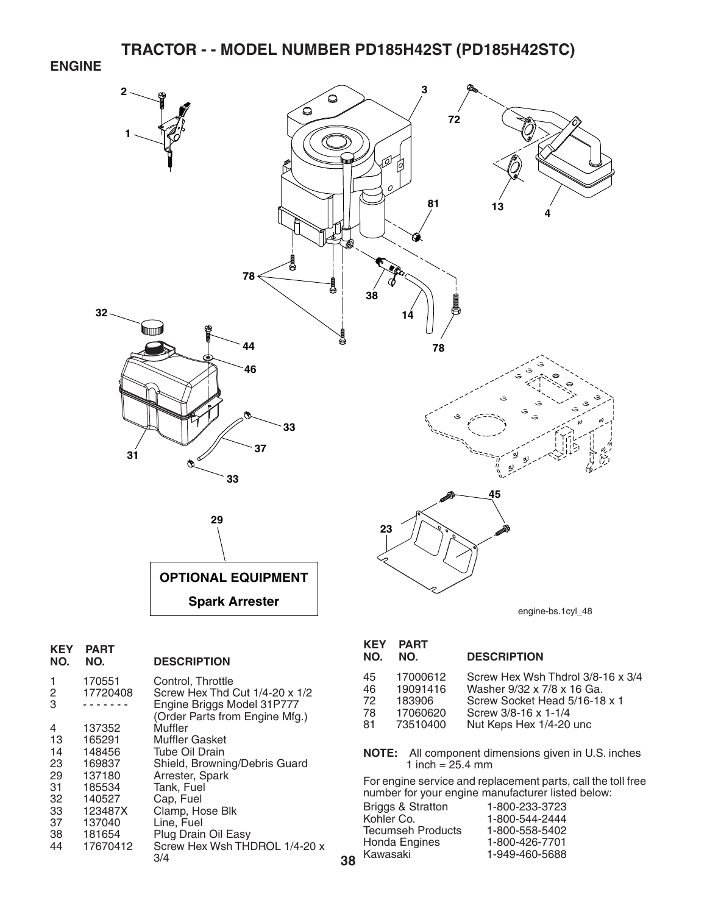**ENGINE** 



**38**

| KEY<br>NO. | PART<br>NO.        | <b>DESCRIPTION</b>                                           |
|------------|--------------------|--------------------------------------------------------------|
| 1<br>2     | 170551<br>17720408 | Control, Throttle<br>Screw Hex Thd Cut 1/4-20 x 1/2          |
| 3          |                    | Engine Briggs Model 31P777<br>(Order Parts from Engine Mfg.) |
| 4          | 137352             | Muffler                                                      |
| 13         | 165291             | <b>Muffler Gasket</b>                                        |
| 14         | 148456             | Tube Oil Drain                                               |
| 23         | 169837             | Shield, Browning/Debris Guard                                |
| 29         | 137180             | Arrester, Spark                                              |
| 31         | 185534             | Tank, Fuel                                                   |
| 32         | 140527             | Cap, Fuel                                                    |
| 33         | 123487X            | Clamp, Hose Blk                                              |
| 37         | 137040             | Line. Fuel                                                   |
| 38         | 181654             | Plug Drain Oil Easy                                          |
| 44         | 17670412           | Screw Hex Wsh THDROL 1/4-20 x<br>3/4                         |
|            |                    |                                                              |

#### **KEY PART**

| NO. | NO.      | <b>DESCRIPTION</b>                |
|-----|----------|-----------------------------------|
| 45  | 17000612 | Screw Hex Wsh Thdrol 3/8-16 x 3/4 |
| 46  | 19091416 | Washer 9/32 x 7/8 x 16 Ga.        |
| 72  | 183906   | Screw Socket Head 5/16-18 x 1     |
| 78  | 17060620 | Screw 3/8-16 x 1-1/4              |
| -81 | 73510400 | Nut Keps Hex 1/4-20 unc           |

**NOTE:** All component dimensions given in U.S. inches 1 inch =  $25.4 \, \text{mm}$ 

For engine service and replacement parts, call the toll free number for your engine manufacturer listed below:

| 1-800-233-3723 |
|----------------|
| 1-800-544-2444 |
| 1-800-558-5402 |
| 1-800-426-7701 |
| 1-949-460-5688 |
|                |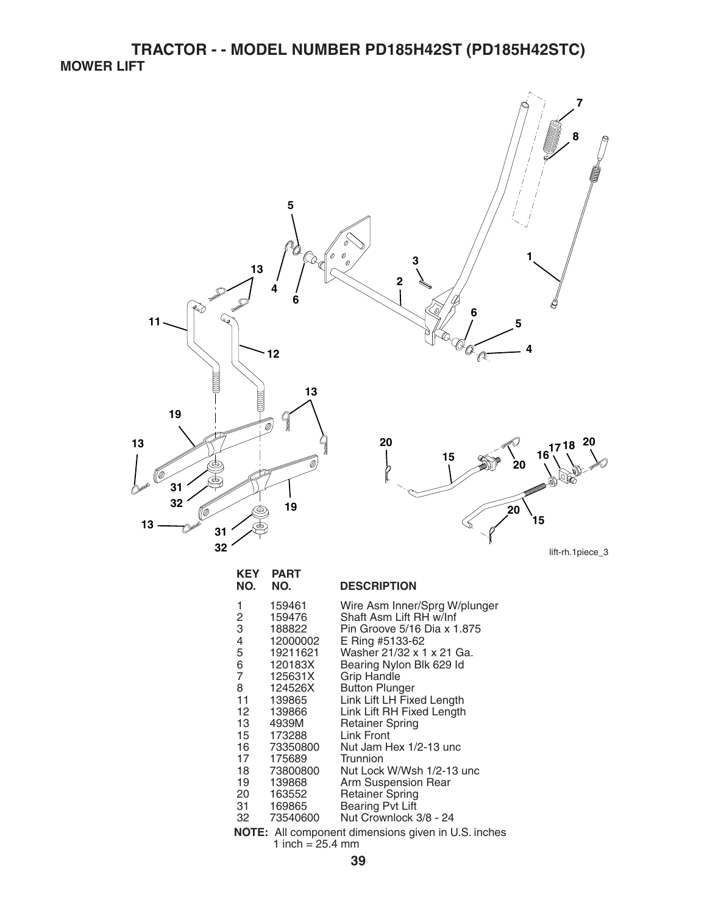**TRACTOR - - MODEL NUMBER PD185H42ST (PD185H42STC) MOWER LIFT** 



31 169865 Bearing Pvt Lift<br>32 73540600 Nut Crownlock Nut Crownlock 3/8 - 24 **NOTE:** All component dimensions given in U.S. inches 1 inch =  $25.4 \, \text{mm}$ 

18 73800800 Nut Lock W/Wsh 1/2-13 unc<br>19 139868 Arm Suspension Rear 19 139868 Arm Suspension Rear<br>20 163552 Retainer Spring 20 163552 Retainer Spring<br>31 169865 Bearing Pvt Lift

11 139865 Link Lift LH Fixed Length 12 139866 Link Lift RH Fixed Length<br>13 4939M Retainer Spring

13 4939M Retainer Spring<br>15 173288 Link Front 173288 Link Front<br>73350800 Nut Jam H 16 73350800 Nut Jam Hex 1/2-13 unc

17 175689 Trunnion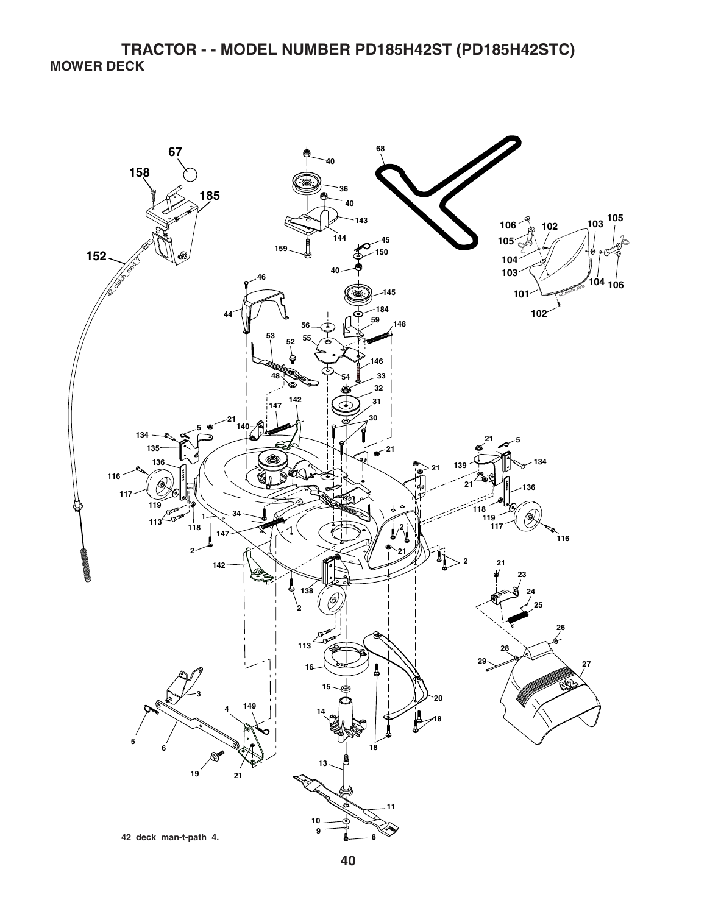**TRACTOR - - MODEL NUMBER PD185H42ST (PD185H42STC) MOWER DECK**